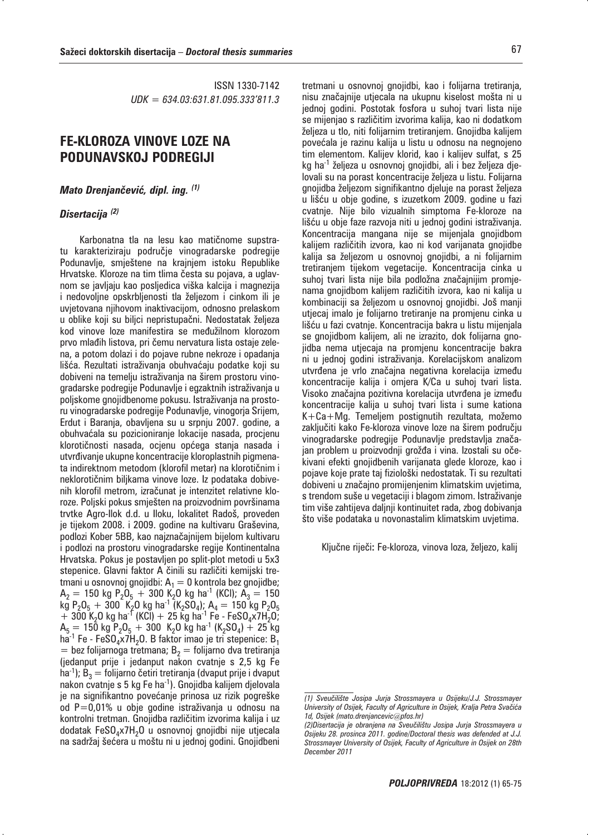ISSN 1330-7142 *UDK = 634.03:631.81.095.333'811.3*

## **FE-KLOROZA VINOVE LOZE NA PODUNAVSKOJ PODREGIJI**

*Mato Drenjanevi-, dipl. ing. (1)*

## *Disertacija (2)*

Karbonatna tla na lesu kao matičnome supstratu karakteriziraju područje vinogradarske podregije Podunavlje, smještene na krajnjem istoku Republike Hrvatske. Kloroze na tim tlima česta su pojava, a uglavnom se javljaju kao posljedica viška kalcija i magnezija i nedovoljne opskrbljenosti tla željezom i cinkom ili je uvjetovana njihovom inaktivacijom, odnosno prelaskom u oblike koji su biljci nepristupačni. Nedostatak željeza kod vinove loze manifestira se međužilnom klorozom prvo mlađih listova, pri čemu nervatura lista ostaje zelena, a potom dolazi i do pojave rubne nekroze i opadanja lišća. Rezultati istraživanja obuhvaćaju podatke koji su dobiveni na temelju istraživanja na širem prostoru vinogradarske podregije Podunavlje i egzaktnih istraživanja u poljskome gnojidbenome pokusu. Istraživanja na prostoru vinogradarske podregije Podunavlje, vinogorja Srijem, Erdut i Baranja, obavljena su u srpnju 2007. godine, a obuhvaćala su pozicioniranje lokacije nasada, procjenu klorotičnosti nasada, ocjenu općega stanja nasada i utvrđivanje ukupne koncentracije kloroplastnih pigmenata indirektnom metodom (klorofil metar) na klorotičnim i neklorotičnim biljkama vinove loze. Iz podataka dobivenih klorofil metrom, izračunat je intenzitet relativne kloroze. Poljski pokus smješten na proizvodnim površinama trvtke Agro-Ilok d.d. u Iloku, lokalitet Radoš, proveden je tijekom 2008. i 2009. godine na kultivaru Graševina, podlozi Kober 5BB, kao najznačajnijem bijelom kultivaru i podlozi na prostoru vinogradarske regije Kontinentalna Hrvatska. Pokus je postavljen po split-plot metodi u 5x3 stepenice. Glavni faktor A činili su različiti kemijski tretmani u osnovnoj gnojidbi:  $A_1 = 0$  kontrola bez gnojidbe;  $A_2 = 150$  kg P<sub>2</sub>O<sub>5</sub> + 300 K<sub>2</sub>O kg ha<sup>-1</sup> (KCl);  $A_3 = 150$  $k\bar{g}$  P<sub>2</sub>O<sub>5</sub> + 300 K<sub>2</sub>O kg ha<sup>-1</sup> (K<sub>2</sub>SO<sub>4</sub>); A<sub>4</sub> = 150 kg P<sub>2</sub>O<sub>5</sub>  $+$  300 K<sub>2</sub>O kg ha<sup>-T</sup> (KCI) + 25 kg ha<sup>-1</sup> Fe - FeSO<sub>4</sub>x7H<sub>2</sub>O;  $A_5 = 150$  kg  $P_2O_5 + 300$  K<sub>2</sub>O kg ha<sup>-1</sup> (K<sub>2</sub>SO<sub>4</sub>) + 25 kg ha<sup>-1</sup> Fe - FeSO<sub>4</sub> $x$ 7H<sub>2</sub>O. B faktor imao je tri stepenice: B<sub>1</sub>  $=$  bez folijarnoga tretmana; B<sub>2</sub> = folijarno dva tretiranja (jedanput prije i jedanput nakon cvatnje s 2,5 kg Fe ha<sup>-1</sup>); B<sub>3</sub> = folijarno četiri tretiranja (dvaput prije i dvaput nakon cvatnje s 5 kg Fe ha-1). Gnojidba kalijem djelovala je na signifikantno povećanje prinosa uz rizik pogreške od P=0,01% u obje godine istraživanja u odnosu na kontrolni tretman. Gnojidba različitim izvorima kalija i uz dodatak  $FeSO<sub>4</sub> x7H<sub>2</sub>O$  u osnovnoj gnojidbi nije utjecala na sadržaj šećera u moštu ni u jednoj godini. Gnojidbeni

tretmani u osnovnoj gnojidbi, kao i folijarna tretiranja, nisu značajnije utjecala na ukupnu kiselost mošta ni u jednoj godini. Postotak fosfora u suhoj tvari lista nije se mijenjao s različitim izvorima kalija, kao ni dodatkom željeza u tlo, niti folijarnim tretiranjem. Gnojidba kalijem povećala je razinu kalija u listu u odnosu na negnojeno tim elementom. Kalijev klorid, kao i kalijev sulfat, s 25 kg ha-1 željeza u osnovnoj gnojidbi, ali i bez željeza djelovali su na porast koncentracije željeza u listu. Folijarna gnojidba željezom signifikantno djeluje na porast željeza u lišću u obje godine, s izuzetkom 2009. godine u fazi cvatnje. Nije bilo vizualnih simptoma Fe-kloroze na lišću u obje faze razvoja niti u jednoj godini istraživanja. Koncentracija mangana nije se mijenjala gnojidbom kalijem različitih izvora, kao ni kod varijanata gnojidbe kalija sa željezom u osnovnoj gnojidbi, a ni folijarnim tretiranjem tijekom vegetacije. Koncentracija cinka u suhoj tvari lista nije bila podložna značajnijim promjenama gnojidbom kalijem različitih izvora, kao ni kalija u kombinaciji sa željezom u osnovnoj gnojidbi. Još manji utjecaj imalo je folijarno tretiranje na promjenu cinka u lišću u fazi cvatnje. Koncentracija bakra u listu mijenjala se gnojidbom kalijem, ali ne izrazito, dok folijarna gnojidba nema utjecaja na promjenu koncentracije bakra ni u jednoj godini istraživanja. Korelacijskom analizom utvrđena je vrlo značajna negativna korelacija između koncentracije kalija i omjera K/Ca u suhoj tvari lista. Visoko značajna pozitivna korelacija utvrđena je između koncentracije kalija u suhoj tvari lista i sume kationa K+Ca+Mg. Temeljem postignutih rezultata, možemo zaključiti kako Fe-kloroza vinove loze na širem području vinogradarske podregije Podunavlje predstavlja značajan problem u proizvodnji grožđa i vina. Izostali su očekivani efekti gnojidbenih varijanata glede kloroze, kao i pojave koje prate taj fiziološki nedostatak. Ti su rezultati dobiveni u značajno promijenjenim klimatskim uvjetima, s trendom suše u vegetaciji i blagom zimom. Istraživanje

Ključne riječi: Fe-kloroza, vinova loza, željezo, kalij

tim više zahtijeva daljnji kontinuitet rada, zbog dobivanja što više podataka u novonastalim klimatskim uvjetima.

*<sup>(1)</sup> Sveu~ili{te Josipa Jurja Strossmayera u Osijeku/J.J. Strossmayer*  University of Osijek, Faculty of Agriculture in Osijek, Kralja Petra Svačića *1d, Osijek (mato.drenjancevic@pfos.hr)* 

*<sup>(2)</sup>Disertacija je obranjena na Sveu~ili{tu Josipa Jurja Strossmayera u Osijeku 28. prosinca 2011. godine/Doctoral thesis was defended at J.J. Strossmayer University of Osijek, Faculty of Agriculture in Osijek on 28th December 2011*